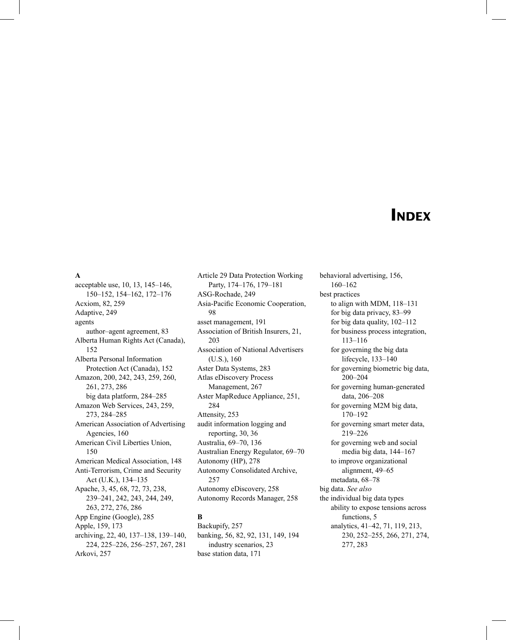# **INDEX**

## **A**

acceptable use, 10, 13, 145–146, 150–152, 154–162, 172–176 Acxiom, 82, 259 Adaptive, 249 agents author–agent agreement, 83 Alberta Human Rights Act (Canada), 152 Alberta Personal Information Protection Act (Canada), 152 Amazon, 200, 242, 243, 259, 260, 261, 273, 286 big data platform, 284–285 Amazon Web Services, 243, 259, 273, 284–285 American Association of Advertising Agencies, 160 American Civil Liberties Union, 150 American Medical Association, 148 Anti-Terrorism, Crime and Security Act (U.K.), 134–135 Apache, 3, 45, 68, 72, 73, 238, 239–241, 242, 243, 244, 249, 263, 272, 276, 286 App Engine (Google), 285 Apple, 159, 173 archiving, 22, 40, 137–138, 139–140, 224, 225–226, 256–257, 267, 281 Arkovi, 257

Article 29 Data Protection Working Party, 174–176, 179–181 ASG-Rochade, 249 Asia-Pacific Economic Cooperation, 98 asset management, 191 Association of British Insurers, 21, 203 Association of National Advertisers (U.S.), 160 Aster Data Systems, 283 Atlas eDiscovery Process Management, 267 Aster MapReduce Appliance, 251, 284 Attensity, 253 audit information logging and reporting, 30, 36 Australia, 69–70, 136 Australian Energy Regulator, 69–70 Autonomy (HP), 278 Autonomy Consolidated Archive, 257 Autonomy eDiscovery, 258 Autonomy Records Manager, 258

# **B**

Backupify, 257 banking, 56, 82, 92, 131, 149, 194 industry scenarios, 23 base station data, 171

behavioral advertising, 156, 160–162 best practices to align with MDM, 118–131 for big data privacy, 83–99 for big data quality, 102–112 for business process integration, 113–116 for governing the big data lifecycle, 133–140 for governing biometric big data, 200–204 for governing human-generated data, 206–208 for governing M2M big data, 170–192 for governing smart meter data, 219–226 for governing web and social media big data, 144–167 to improve organizational alignment, 49–65 metadata, 68–78 big data. *See also* the individual big data types ability to expose tensions across functions, 5 analytics, 41–42, 71, 119, 213, 230, 252–255, 266, 271, 274, 277, 283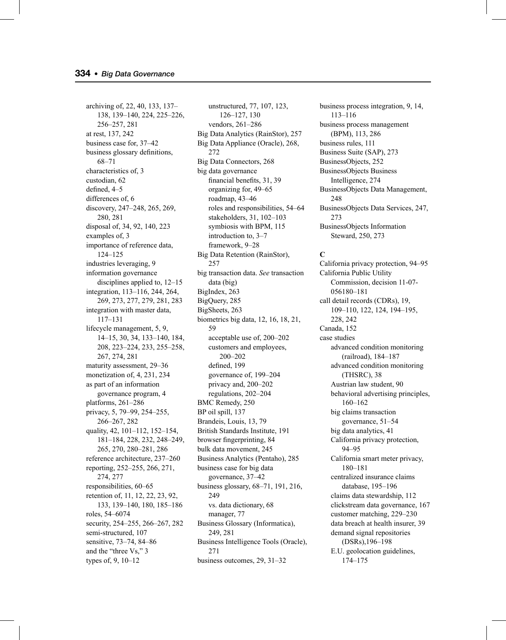archiving of, 22, 40, 133, 137– 138, 139–140, 224, 225–226, 256–257, 281 at rest, 137, 242 business case for, 37–42 business glossary definitions, 68–71 characteristics of, 3 custodian, 62 defined, 4-5 differences of, 6 discovery, 247–248, 265, 269, 280, 281 disposal of, 34, 92, 140, 223 examples of, 3 importance of reference data, 124–125 industries leveraging, 9 information governance disciplines applied to, 12–15 integration, 113–116, 244, 264, 269, 273, 277, 279, 281, 283 integration with master data, 117–131 lifecycle management, 5, 9, 14–15, 30, 34, 133–140, 184, 208, 223–224, 233, 255–258, 267, 274, 281 maturity assessment, 29–36 monetization of, 4, 231, 234 as part of an information governance program, 4 platforms, 261–286 privacy, 5, 79–99, 254–255, 266–267, 282 quality, 42, 101–112, 152–154, 181–184, 228, 232, 248–249, 265, 270, 280–281, 286 reference architecture, 237–260 reporting, 252–255, 266, 271, 274, 277 responsibilities, 60–65 retention of, 11, 12, 22, 23, 92, 133, 139–140, 180, 185–186 roles, 54–6074 security, 254–255, 266–267, 282 semi-structured, 107 sensitive, 73–74, 84–86 and the "three Vs," 3 types of, 9, 10–12

unstructured, 77, 107, 123, 126–127, 130 vendors, 261–286 Big Data Analytics (RainStor), 257 Big Data Appliance (Oracle), 268, 272 Big Data Connectors, 268 big data governance financial benefits, 31, 39 organizing for, 49–65 roadmap, 43–46 roles and responsibilities, 54–64 stakeholders, 31, 102–103 symbiosis with BPM, 115 introduction to, 3–7 framework, 9–28 Big Data Retention (RainStor), 257 big transaction data. *See* transaction data (big) BigIndex, 263 BigQuery, 285 BigSheets, 263 biometrics big data, 12, 16, 18, 21, 59 acceptable use of, 200–202 customers and employees, 200–202 defined, 199 governance of, 199–204 privacy and, 200–202 regulations, 202–204 BMC Remedy, 250 BP oil spill, 137 Brandeis, Louis, 13, 79 British Standards Institute, 191 browser fingerprinting, 84 bulk data movement, 245 Business Analytics (Pentaho), 285 business case for big data governance, 37–42 business glossary, 68–71, 191, 216, 249 vs. data dictionary, 68 manager, 77 Business Glossary (Informatica), 249, 281 Business Intelligence Tools (Oracle), 271 business outcomes, 29, 31–32

business process integration, 9, 14, 113–116 business process management (BPM), 113, 286 business rules, 111 Business Suite (SAP), 273 BusinessObjects, 252 BusinessObjects Business Intelligence, 274 BusinessObjects Data Management, 248 BusinessObjects Data Services, 247, 273 BusinessObjects Information Steward, 250, 273

#### **C**

California privacy protection, 94–95 California Public Utility Commission, decision 11-07- 056180–181 call detail records (CDRs), 19, 109–110, 122, 124, 194–195, 228, 242 Canada, 152 case studies advanced condition monitoring (railroad), 184–187 advanced condition monitoring (THSRC), 38 Austrian law student, 90 behavioral advertising principles, 160–162 big claims transaction governance, 51–54 big data analytics, 41 California privacy protection, 94–95 California smart meter privacy, 180–181 centralized insurance claims database, 195–196 claims data stewardship, 112 clickstream data governance, 167 customer matching, 229–230 data breach at health insurer, 39 demand signal repositories (DSRs),196–198 E.U. geolocation guidelines, 174–175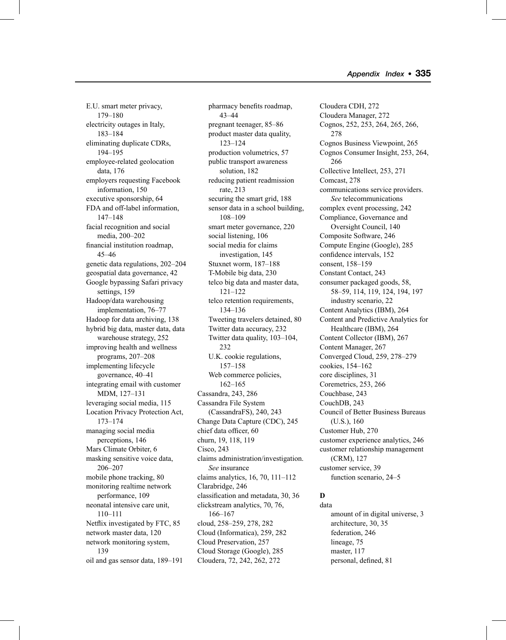E.U. smart meter privacy, 179–180 electricity outages in Italy, 183–184 eliminating duplicate CDRs, 194–195 employee-related geolocation data, 176 employers requesting Facebook information, 150 executive sponsorship, 64 FDA and off-label information, 147–148 facial recognition and social media, 200–202 financial institution roadmap, 45–46 genetic data regulations, 202–204 geospatial data governance, 42 Google bypassing Safari privacy settings, 159 Hadoop/data warehousing implementation, 76–77 Hadoop for data archiving, 138 hybrid big data, master data, data warehouse strategy, 252 improving health and wellness programs, 207–208 implementing lifecycle governance, 40–41 integrating email with customer MDM, 127–131 leveraging social media, 115 Location Privacy Protection Act, 173–174 managing social media perceptions, 146 Mars Climate Orbiter, 6 masking sensitive voice data, 206–207 mobile phone tracking, 80 monitoring realtime network performance, 109 neonatal intensive care unit, 110–111 Netflix investigated by FTC, 85 network master data, 120 network monitoring system, 139 oil and gas sensor data, 189–191

pharmacy benefits roadmap, 43–44 pregnant teenager, 85–86 product master data quality, 123–124 production volumetrics, 57 public transport awareness solution, 182 reducing patient readmission rate, 213 securing the smart grid, 188 sensor data in a school building, 108–109 smart meter governance, 220 social listening, 106 social media for claims investigation, 145 Stuxnet worm, 187–188 T-Mobile big data, 230 telco big data and master data, 121–122 telco retention requirements, 134–136 Tweeting travelers detained, 80 Twitter data accuracy, 232 Twitter data quality, 103–104, 232 U.K. cookie regulations, 157–158 Web commerce policies, 162–165 Cassandra, 243, 286 Cassandra File System (CassandraFS), 240, 243 Change Data Capture (CDC), 245 chief data officer, 60 churn, 19, 118, 119 Cisco, 243 claims administration/investigation. *See* insurance claims analytics, 16, 70, 111–112 Clarabridge, 246 classification and metadata, 30, 36 clickstream analytics, 70, 76, 166–167 cloud, 258–259, 278, 282 Cloud (Informatica), 259, 282 Cloud Preservation, 257 Cloud Storage (Google), 285 Cloudera, 72, 242, 262, 272

Cloudera CDH, 272 Cloudera Manager, 272 Cognos, 252, 253, 264, 265, 266, 278 Cognos Business Viewpoint, 265 Cognos Consumer Insight, 253, 264, 266 Collective Intellect, 253, 271 Comcast, 278 communications service providers. *See* telecommunications complex event processing, 242 Compliance, Governance and Oversight Council, 140 Composite Software, 246 Compute Engine (Google), 285 confidence intervals, 152 consent, 158–159 Constant Contact, 243 consumer packaged goods, 58, 58–59, 114, 119, 124, 194, 197 industry scenario, 22 Content Analytics (IBM), 264 Content and Predictive Analytics for Healthcare (IBM), 264 Content Collector (IBM), 267 Content Manager, 267 Converged Cloud, 259, 278–279 cookies, 154–162 core disciplines, 31 Coremetrics, 253, 266 Couchbase, 243 CouchDB, 243 Council of Better Business Bureaus (U.S.), 160 Customer Hub, 270 customer experience analytics, 246 customer relationship management (CRM), 127 customer service, 39 function scenario, 24–5

#### **D** data

amount of in digital universe, 3 architecture, 30, 35 federation, 246 lineage, 75 master, 117 personal, defined, 81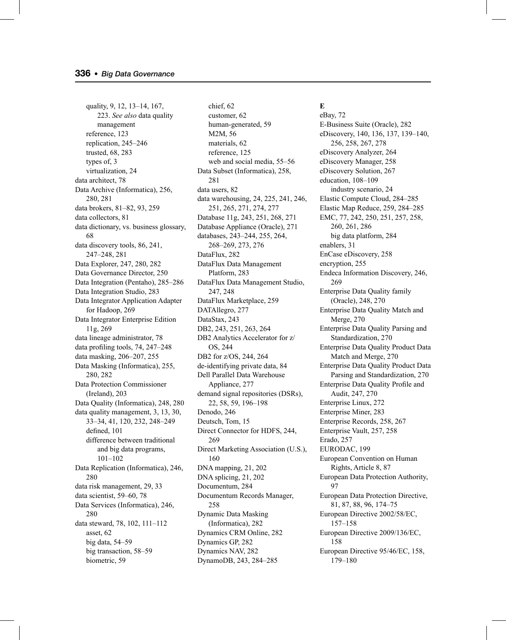quality, 9, 12, 13–14, 167, 223. *See also* data quality management reference, 123 replication, 245–246 trusted, 68, 283 types of, 3 virtualization, 24 data architect, 78 Data Archive (Informatica), 256, 280, 281 data brokers, 81–82, 93, 259 data collectors, 81 data dictionary, vs. business glossary, 68 data discovery tools, 86, 241, 247–248, 281 Data Explorer, 247, 280, 282 Data Governance Director, 250 Data Integration (Pentaho), 285–286 Data Integration Studio, 283 Data Integrator Application Adapter for Hadoop, 269 Data Integrator Enterprise Edition 11g, 269 data lineage administrator, 78 data profiling tools,  $74, 247-248$ data masking, 206–207, 255 Data Masking (Informatica), 255, 280, 282 Data Protection Commissioner (Ireland), 203 Data Quality (Informatica), 248, 280 data quality management, 3, 13, 30, 33–34, 41, 120, 232, 248–249 defined, 101 difference between traditional and big data programs, 101–102 Data Replication (Informatica), 246, 280 data risk management, 29, 33 data scientist, 59–60, 78 Data Services (Informatica), 246, 280 data steward, 78, 102, 111–112 asset, 62 big data, 54–59 big transaction, 58–59 biometric, 59

chief, 62 customer, 62 human-generated, 59 M2M, 56 materials, 62 reference, 125 web and social media, 55–56 Data Subset (Informatica), 258, 281 data users, 82 data warehousing, 24, 225, 241, 246, 251, 265, 271, 274, 277 Database 11g, 243, 251, 268, 271 Database Appliance (Oracle), 271 databases, 243–244, 255, 264, 268–269, 273, 276 DataFlux, 282 DataFlux Data Management Platform, 283 DataFlux Data Management Studio, 247, 248 DataFlux Marketplace, 259 DATAllegro, 277 DataStax, 243 DB2, 243, 251, 263, 264 DB2 Analytics Accelerator for z/ OS, 244 DB2 for z/OS, 244, 264 de-identifying private data, 84 Dell Parallel Data Warehouse Appliance, 277 demand signal repositories (DSRs), 22, 58, 59, 196–198 Denodo, 246 Deutsch, Tom, 15 Direct Connector for HDFS, 244, 269 Direct Marketing Association (U.S.), 160 DNA mapping, 21, 202 DNA splicing, 21, 202 Documentum, 284 Documentum Records Manager, 258 Dynamic Data Masking (Informatica), 282 Dynamics CRM Online, 282 Dynamics GP, 282 Dynamics NAV, 282 DynamoDB, 243, 284–285

**E** eBay, 72 E-Business Suite (Oracle), 282 eDiscovery, 140, 136, 137, 139–140, 256, 258, 267, 278 eDiscovery Analyzer, 264 eDiscovery Manager, 258 eDiscovery Solution, 267 education, 108–109 industry scenario, 24 Elastic Compute Cloud, 284–285 Elastic Map Reduce, 259, 284–285 EMC, 77, 242, 250, 251, 257, 258, 260, 261, 286 big data platform, 284 enablers, 31 EnCase eDiscovery, 258 encryption, 255 Endeca Information Discovery, 246, 269 Enterprise Data Quality family (Oracle), 248, 270 Enterprise Data Quality Match and Merge, 270 Enterprise Data Quality Parsing and Standardization, 270 Enterprise Data Quality Product Data Match and Merge, 270 Enterprise Data Quality Product Data Parsing and Standardization, 270 Enterprise Data Quality Profile and Audit, 247, 270 Enterprise Linux, 272 Enterprise Miner, 283 Enterprise Records, 258, 267 Enterprise Vault, 257, 258 Erado, 257 EURODAC, 199 European Convention on Human Rights, Article 8, 87 European Data Protection Authority, 97 European Data Protection Directive, 81, 87, 88, 96, 174–75 European Directive 2002/58/EC, 157–158 European Directive 2009/136/EC, 158 European Directive 95/46/EC, 158, 179–180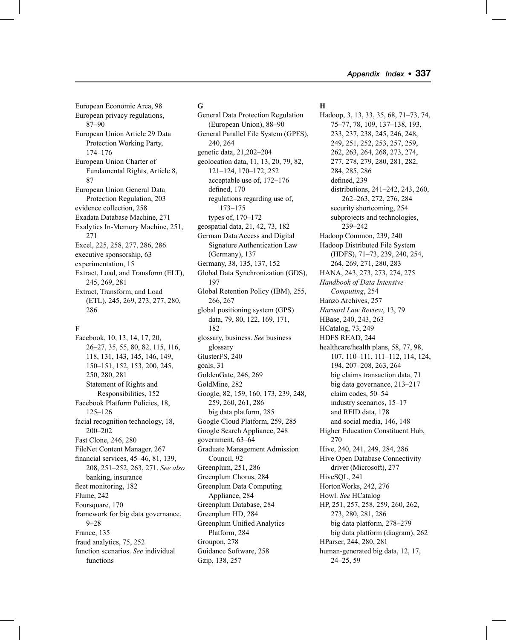European Economic Area, 98 European privacy regulations, 87–90 European Union Article 29 Data Protection Working Party, 174–176 European Union Charter of Fundamental Rights, Article 8, 87 European Union General Data Protection Regulation, 203 evidence collection, 258 Exadata Database Machine, 271 Exalytics In-Memory Machine, 251, 271 Excel, 225, 258, 277, 286, 286 executive sponsorship, 63 experimentation, 15 Extract, Load, and Transform (ELT), 245, 269, 281 Extract, Transform, and Load (ETL), 245, 269, 273, 277, 280, 286

## **F**

Facebook, 10, 13, 14, 17, 20, 26–27, 35, 55, 80, 82, 115, 116, 118, 131, 143, 145, 146, 149, 150–151, 152, 153, 200, 245, 250, 280, 281 Statement of Rights and Responsibilities, 152 Facebook Platform Policies, 18, 125–126 facial recognition technology, 18, 200–202 Fast Clone, 246, 280 FileNet Content Manager, 267 financial services, 45–46, 81, 139, 208, 251–252, 263, 271. *See also* banking, insurance fleet monitoring, 182 Flume, 242 Foursquare, 170 framework for big data governance, 9–28 France, 135 fraud analytics, 75, 252 function scenarios. *See* individual functions

#### **G**

General Data Protection Regulation (European Union), 88–90 General Parallel File System (GPFS), 240, 264 genetic data, 21,202–204 geolocation data, 11, 13, 20, 79, 82, 121–124, 170–172, 252 acceptable use of, 172–176 defined, 170 regulations regarding use of, 173–175 types of, 170–172 geospatial data, 21, 42, 73, 182 German Data Access and Digital Signature Authentication Law (Germany), 137 Germany, 38, 135, 137, 152 Global Data Synchronization (GDS), 197 Global Retention Policy (IBM), 255, 266, 267 global positioning system (GPS) data, 79, 80, 122, 169, 171, 182 glossary, business. *See* business glossary GlusterFS, 240 goals, 31 GoldenGate, 246, 269 GoldMine, 282 Google, 82, 159, 160, 173, 239, 248, 259, 260, 261, 286 big data platform, 285 Google Cloud Platform, 259, 285 Google Search Appliance, 248 government, 63–64 Graduate Management Admission Council, 92 Greenplum, 251, 286 Greenplum Chorus, 284 Greenplum Data Computing Appliance, 284 Greenplum Database, 284 Greenplum HD, 284 Greenplum Unified Analytics Platform, 284 Groupon, 278 Guidance Software, 258 Gzip, 138, 257

#### **H**

Hadoop, 3, 13, 33, 35, 68, 71–73, 74, 75–77, 78, 109, 137–138, 193, 233, 237, 238, 245, 246, 248, 249, 251, 252, 253, 257, 259, 262, 263, 264, 268, 273, 274, 277, 278, 279, 280, 281, 282, 284, 285, 286 defined, 239 distributions, 241–242, 243, 260, 262–263, 272, 276, 284 security shortcoming, 254 subprojects and technologies, 239–242 Hadoop Common, 239, 240 Hadoop Distributed File System (HDFS), 71–73, 239, 240, 254, 264, 269, 271, 280, 283 HANA, 243, 273, 273, 274, 275 *Handbook of Data Intensive Computing*, 254 Hanzo Archives, 257 *Harvard Law Review*, 13, 79 HBase, 240, 243, 263 HCatalog, 73, 249 HDFS READ, 244 healthcare/health plans, 58, 77, 98, 107, 110–111, 111–112, 114, 124, 194, 207–208, 263, 264 big claims transaction data, 71 big data governance, 213–217 claim codes, 50–54 industry scenarios, 15–17 and RFID data, 178 and social media, 146, 148 Higher Education Constituent Hub, 270 Hive, 240, 241, 249, 284, 286 Hive Open Database Connectivity driver (Microsoft), 277 HiveSQL, 241 HortonWorks, 242, 276 Howl. *See* HCatalog HP, 251, 257, 258, 259, 260, 262, 273, 280, 281, 286 big data platform, 278–279 big data platform (diagram), 262 HParser, 244, 280, 281 human-generated big data, 12, 17, 24–25, 59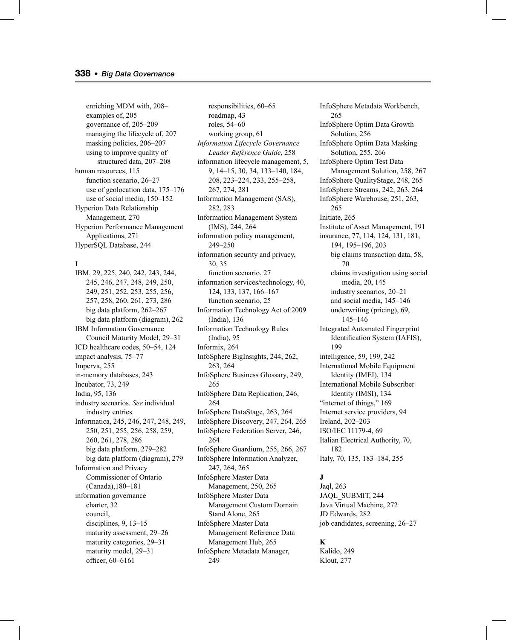enriching MDM with, 208– examples of, 205 governance of, 205–209 managing the lifecycle of, 207 masking policies, 206–207 using to improve quality of structured data, 207–208 human resources, 115 function scenario, 26–27 use of geolocation data, 175–176 use of social media, 150–152 Hyperion Data Relationship Management, 270 Hyperion Performance Management Applications, 271 HyperSQL Database, 244

## **I**

IBM, 29, 225, 240, 242, 243, 244, 245, 246, 247, 248, 249, 250, 249, 251, 252, 253, 255, 256, 257, 258, 260, 261, 273, 286 big data platform, 262–267 big data platform (diagram), 262 IBM Information Governance Council Maturity Model, 29–31 ICD healthcare codes, 50–54, 124 impact analysis, 75–77 Imperva, 255 in-memory databases, 243 Incubator, 73, 249 India, 95, 136 industry scenarios. *See* individual industry entries Informatica, 245, 246, 247, 248, 249, 250, 251, 255, 256, 258, 259, 260, 261, 278, 286 big data platform, 279–282 big data platform (diagram), 279 Information and Privacy Commissioner of Ontario (Canada),180–181 information governance charter, 32 council, disciplines, 9, 13–15 maturity assessment, 29–26 maturity categories, 29–31 maturity model, 29–31 officer, 60-6161

responsibilities, 60–65 roadmap, 43 roles, 54–60 working group, 61 *Information Lifecycle Governance Leader Reference Guide*, 258 information lifecycle management, 5, 9, 14–15, 30, 34, 133–140, 184, 208, 223–224, 233, 255–258, 267, 274, 281 Information Management (SAS), 282, 283 Information Management System (IMS), 244, 264 information policy management, 249–250 information security and privacy, 30, 35 function scenario, 27 information services/technology, 40, 124, 133, 137, 166–167 function scenario, 25 Information Technology Act of 2009 (India), 136 Information Technology Rules (India), 95 Informix, 264 InfoSphere BigInsights, 244, 262, 263, 264 InfoSphere Business Glossary, 249, 265 InfoSphere Data Replication, 246, 264 InfoSphere DataStage, 263, 264 InfoSphere Discovery, 247, 264, 265 InfoSphere Federation Server, 246, 264 InfoSphere Guardium, 255, 266, 267 InfoSphere Information Analyzer, 247, 264, 265 InfoSphere Master Data Management, 250, 265 InfoSphere Master Data Management Custom Domain Stand Alone, 265 InfoSphere Master Data Management Reference Data Management Hub, 265 InfoSphere Metadata Manager, 249

InfoSphere Metadata Workbench, 265 InfoSphere Optim Data Growth Solution, 256 InfoSphere Optim Data Masking Solution, 255, 266 InfoSphere Optim Test Data Management Solution, 258, 267 InfoSphere QualityStage, 248, 265 InfoSphere Streams, 242, 263, 264 InfoSphere Warehouse, 251, 263, 265 Initiate, 265 Institute of Asset Management, 191 insurance, 77, 114, 124, 131, 181, 194, 195–196, 203 big claims transaction data, 58, 70 claims investigation using social media, 20, 145 industry scenarios, 20–21 and social media, 145–146 underwriting (pricing), 69, 145–146 Integrated Automated Fingerprint Identification System (IAFIS), 199 intelligence, 59, 199, 242 International Mobile Equipment Identity (IMEI), 134 International Mobile Subscriber Identity (IMSI), 134 "internet of things," 169 Internet service providers, 94 Ireland, 202–203 ISO/IEC 11179-4, 69 Italian Electrical Authority, 70, 182 Italy, 70, 135, 183–184, 255

#### **J**

Jaql, 263 JAQL\_SUBMIT, 244 Java Virtual Machine, 272 JD Edwards, 282 job candidates, screening, 26–27

## **K**

Kalido, 249 Klout, 277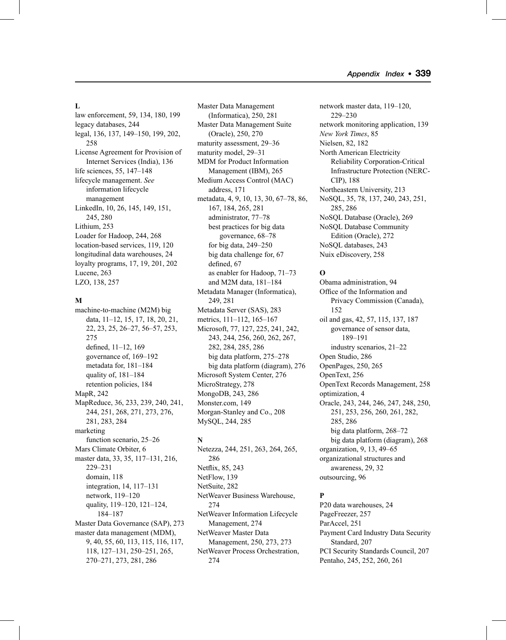#### **L**

law enforcement, 59, 134, 180, 199 legacy databases, 244 legal, 136, 137, 149–150, 199, 202, 258 License Agreement for Provision of Internet Services (India), 136 life sciences, 55, 147–148 lifecycle management. *See* information lifecycle management LinkedIn, 10, 26, 145, 149, 151, 245, 280 Lithium, 253 Loader for Hadoop, 244, 268 location-based services, 119, 120 longitudinal data warehouses, 24 loyalty programs, 17, 19, 201, 202 Lucene, 263 LZO, 138, 257

#### **M**

machine-to-machine (M2M) big data, 11–12, 15, 17, 18, 20, 21, 22, 23, 25, 26–27, 56–57, 253, 275 defined, 11-12, 169 governance of, 169–192 metadata for, 181–184 quality of, 181–184 retention policies, 184 MapR, 242 MapReduce, 36, 233, 239, 240, 241, 244, 251, 268, 271, 273, 276, 281, 283, 284 marketing function scenario, 25–26 Mars Climate Orbiter, 6 master data, 33, 35, 117–131, 216, 229–231 domain, 118 integration, 14, 117–131 network, 119–120 quality, 119–120, 121–124, 184–187 Master Data Governance (SAP), 273 master data management (MDM), 9, 40, 55, 60, 113, 115, 116, 117, 118, 127–131, 250–251, 265, 270–271, 273, 281, 286

Master Data Management (Informatica), 250, 281 Master Data Management Suite (Oracle), 250, 270 maturity assessment, 29–36 maturity model, 29–31 MDM for Product Information Management (IBM), 265 Medium Access Control (MAC) address, 171 metadata, 4, 9, 10, 13, 30, 67–78, 86, 167, 184, 265, 281 administrator, 77–78 best practices for big data governance, 68–78 for big data, 249–250 big data challenge for, 67 defined, 67 as enabler for Hadoop, 71–73 and M2M data, 181–184 Metadata Manager (Informatica), 249, 281 Metadata Server (SAS), 283 metrics, 111–112, 165–167 Microsoft, 77, 127, 225, 241, 242, 243, 244, 256, 260, 262, 267, 282, 284, 285, 286 big data platform, 275–278 big data platform (diagram), 276 Microsoft System Center, 276 MicroStrategy, 278 MongoDB, 243, 286 Monster.com, 149 Morgan-Stanley and Co., 208 MySQL, 244, 285

# **N**

Netezza, 244, 251, 263, 264, 265, 286 Netflix, 85, 243 NetFlow, 139 NetSuite, 282 NetWeaver Business Warehouse, 274 NetWeaver Information Lifecycle Management, 274 NetWeaver Master Data Management, 250, 273, 273 NetWeaver Process Orchestration, 274

network master data, 119–120, 229–230 network monitoring application, 139 *New York Times*, 85 Nielsen, 82, 182 North American Electricity Reliability Corporation-Critical Infrastructure Protection (NERC-CIP), 188 Northeastern University, 213 NoSQL, 35, 78, 137, 240, 243, 251, 285, 286 NoSQL Database (Oracle), 269 NoSQL Database Community Edition (Oracle), 272 NoSQL databases, 243 Nuix eDiscovery, 258

## **O**

Obama administration, 94 Office of the Information and Privacy Commission (Canada), 152 oil and gas, 42, 57, 115, 137, 187 governance of sensor data, 189–191 industry scenarios, 21–22 Open Studio, 286 OpenPages, 250, 265 OpenText, 256 OpenText Records Management, 258 optimization, 4 Oracle, 243, 244, 246, 247, 248, 250, 251, 253, 256, 260, 261, 282, 285, 286 big data platform, 268–72 big data platform (diagram), 268 organization, 9, 13, 49–65 organizational structures and awareness, 29, 32 outsourcing, 96

## **P**

P20 data warehouses, 24 PageFreezer, 257 ParAccel, 251 Payment Card Industry Data Security Standard, 207 PCI Security Standards Council, 207 Pentaho, 245, 252, 260, 261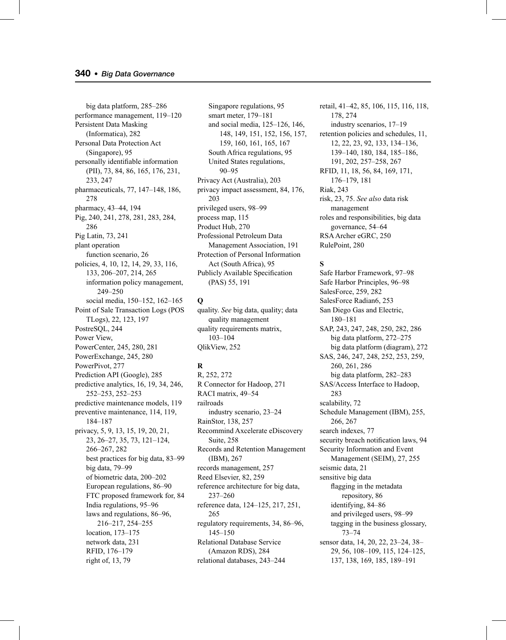big data platform, 285–286 performance management, 119–120 Persistent Data Masking (Informatica), 282 Personal Data Protection Act (Singapore), 95 personally identifiable information (PII), 73, 84, 86, 165, 176, 231, 233, 247 pharmaceuticals, 77, 147–148, 186, 278 pharmacy, 43–44, 194 Pig, 240, 241, 278, 281, 283, 284, 286 Pig Latin, 73, 241 plant operation function scenario, 26 policies, 4, 10, 12, 14, 29, 33, 116, 133, 206–207, 214, 265 information policy management, 249–250 social media, 150–152, 162–165 Point of Sale Transaction Logs (POS TLogs), 22, 123, 197 PostreSQL, 244 Power View, PowerCenter, 245, 280, 281 PowerExchange, 245, 280 PowerPivot, 277 Prediction API (Google), 285 predictive analytics, 16, 19, 34, 246, 252–253, 252–253 predictive maintenance models, 119 preventive maintenance, 114, 119, 184–187 privacy, 5, 9, 13, 15, 19, 20, 21, 23, 26–27, 35, 73, 121–124, 266–267, 282 best practices for big data, 83–99 big data, 79–99 of biometric data, 200–202 European regulations, 86–90 FTC proposed framework for, 84 India regulations, 95–96 laws and regulations, 86–96, 216–217, 254–255 location, 173–175 network data, 231 RFID, 176–179 right of, 13, 79

Singapore regulations, 95 smart meter, 179–181 and social media, 125–126, 146, 148, 149, 151, 152, 156, 157, 159, 160, 161, 165, 167 South Africa regulations, 95 United States regulations, 90–95 Privacy Act (Australia), 203 privacy impact assessment, 84, 176, 203 privileged users, 98–99 process map, 115 Product Hub, 270 Professional Petroleum Data Management Association, 191 Protection of Personal Information Act (South Africa), 95 Publicly Available Specification (PAS) 55, 191

## **Q**

quality. *See* big data, quality; data quality management quality requirements matrix, 103–104 QlikView, 252

# **R**

R, 252, 272 R Connector for Hadoop, 271 RACI matrix, 49–54 railroads industry scenario, 23–24 RainStor, 138, 257 Recommind Axcelerate eDiscovery Suite, 258 Records and Retention Management (IBM), 267 records management, 257 Reed Elsevier, 82, 259 reference architecture for big data, 237–260 reference data, 124–125, 217, 251, 265 regulatory requirements, 34, 86–96, 145–150 Relational Database Service (Amazon RDS), 284 relational databases, 243–244

retail, 41–42, 85, 106, 115, 116, 118, 178, 274 industry scenarios, 17–19 retention policies and schedules, 11, 12, 22, 23, 92, 133, 134–136, 139–140, 180, 184, 185–186, 191, 202, 257–258, 267 RFID, 11, 18, 56, 84, 169, 171, 176–179, 181 Riak, 243 risk, 23, 75. *See also* data risk management roles and responsibilities, big data governance, 54–64 RSA Archer eGRC, 250 RulePoint, 280

## **S**

Safe Harbor Framework, 97–98 Safe Harbor Principles, 96–98 SalesForce, 259, 282 SalesForce Radian6, 253 San Diego Gas and Electric, 180–181 SAP, 243, 247, 248, 250, 282, 286 big data platform, 272–275 big data platform (diagram), 272 SAS, 246, 247, 248, 252, 253, 259, 260, 261, 286 big data platform, 282–283 SAS/Access Interface to Hadoop, 283 scalability, 72 Schedule Management (IBM), 255, 266, 267 search indexes, 77 security breach notification laws, 94 Security Information and Event Management (SEIM), 27, 255 seismic data, 21 sensitive big data flagging in the metadata repository, 86 identifying, 84–86 and privileged users, 98–99 tagging in the business glossary, 73–74 sensor data, 14, 20, 22, 23–24, 38– 29, 56, 108–109, 115, 124–125, 137, 138, 169, 185, 189–191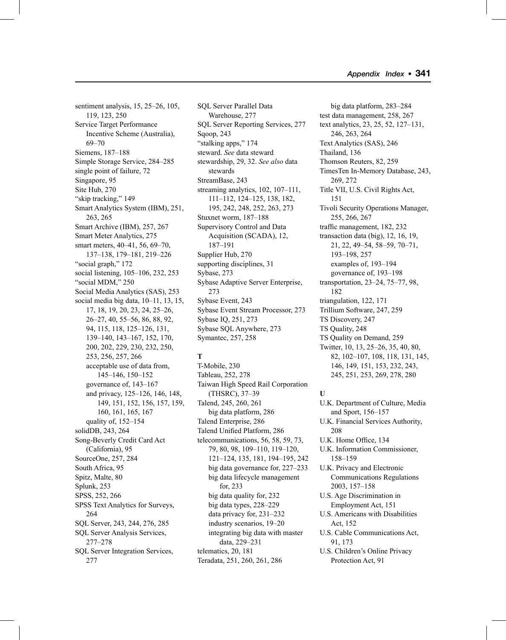sentiment analysis, 15, 25–26, 105, 119, 123, 250 Service Target Performance Incentive Scheme (Australia), 69–70 Siemens, 187–188 Simple Storage Service, 284–285 single point of failure, 72 Singapore, 95 Site Hub, 270 "skip tracking," 149 Smart Analytics System (IBM), 251, 263, 265 Smart Archive (IBM), 257, 267 Smart Meter Analytics, 275 smart meters, 40–41, 56, 69–70, 137–138, 179–181, 219–226 "social graph," 172 social listening, 105–106, 232, 253 "social MDM," 250 Social Media Analytics (SAS), 253 social media big data, 10–11, 13, 15, 17, 18, 19, 20, 23, 24, 25–26, 26–27, 40, 55–56, 86, 88, 92, 94, 115, 118, 125–126, 131, 139–140, 143–167, 152, 170, 200, 202, 229, 230, 232, 250, 253, 256, 257, 266 acceptable use of data from, 145–146, 150–152 governance of, 143–167 and privacy, 125–126, 146, 148, 149, 151, 152, 156, 157, 159, 160, 161, 165, 167 quality of, 152–154 solidDB, 243, 264 Song-Beverly Credit Card Act (California), 95 SourceOne, 257, 284 South Africa, 95 Spitz, Malte, 80 Splunk, 253 SPSS, 252, 266 SPSS Text Analytics for Surveys, 264 SQL Server, 243, 244, 276, 285 SQL Server Analysis Services, 277–278 SQL Server Integration Services, 277

SQL Server Parallel Data Warehouse, 277 SQL Server Reporting Services, 277 Sqoop, 243 "stalking apps," 174 steward. *See* data steward stewardship, 29, 32. *See also* data stewards StreamBase, 243 streaming analytics, 102, 107–111, 111–112, 124–125, 138, 182, 195, 242, 248, 252, 263, 273 Stuxnet worm, 187–188 Supervisory Control and Data Acquisition (SCADA), 12, 187–191 Supplier Hub, 270 supporting disciplines, 31 Sybase, 273 Sybase Adaptive Server Enterprise, 273 Sybase Event, 243 Sybase Event Stream Processor, 273 Sybase IQ, 251, 273 Sybase SQL Anywhere, 273 Symantec, 257, 258

# **T**

T-Mobile, 230 Tableau, 252, 278 Taiwan High Speed Rail Corporation (THSRC), 37–39 Talend, 245, 260, 261 big data platform, 286 Talend Enterprise, 286 Talend Unified Platform, 286 telecommunications, 56, 58, 59, 73, 79, 80, 98, 109–110, 119–120, 121–124, 135, 181, 194–195, 242 big data governance for, 227–233 big data lifecycle management for, 233 big data quality for, 232 big data types, 228–229 data privacy for, 231–232 industry scenarios, 19–20 integrating big data with master data, 229–231 telematics, 20, 181 Teradata, 251, 260, 261, 286

big data platform, 283–284 test data management, 258, 267 text analytics, 23, 25, 52, 127–131, 246, 263, 264 Text Analytics (SAS), 246 Thailand, 136 Thomson Reuters, 82, 259 TimesTen In-Memory Database, 243, 269, 272 Title VII, U.S. Civil Rights Act, 151 Tivoli Security Operations Manager, 255, 266, 267 traffic management, 182, 232 transaction data (big), 12, 16, 19, 21, 22, 49–54, 58–59, 70–71, 193–198, 257 examples of, 193–194 governance of, 193–198 transportation, 23–24, 75–77, 98, 182 triangulation, 122, 171 Trillium Software, 247, 259 TS Discovery, 247 TS Quality, 248 TS Quality on Demand, 259 Twitter, 10, 13, 25–26, 35, 40, 80, 82, 102–107, 108, 118, 131, 145, 146, 149, 151, 153, 232, 243, 245, 251, 253, 269, 278, 280

## **U**

U.K. Department of Culture, Media and Sport, 156–157 U.K. Financial Services Authority, 208 U.K. Home Office, 134 U.K. Information Commissioner, 158–159 U.K. Privacy and Electronic Communications Regulations 2003, 157–158 U.S. Age Discrimination in Employment Act, 151 U.S. Americans with Disabilities Act, 152 U.S. Cable Communications Act, 91, 173 U.S. Children's Online Privacy Protection Act, 91